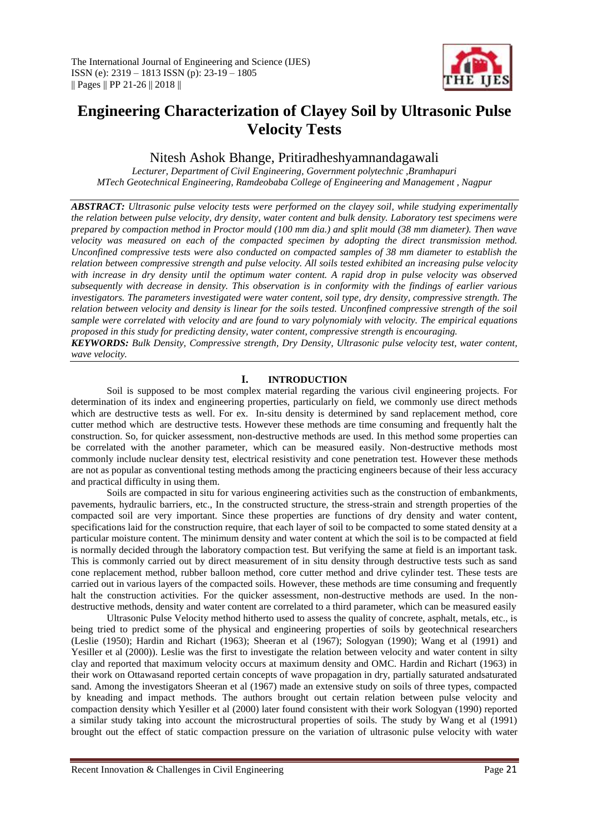

# **Engineering Characterization of Clayey Soil by Ultrasonic Pulse Velocity Tests**

Nitesh Ashok Bhange, Pritiradheshyamnandagawali

*Lecturer, Department of Civil Engineering, Government polytechnic ,Bramhapuri MTech Geotechnical Engineering, Ramdeobaba College of Engineering and Management , Nagpur*

*ABSTRACT: Ultrasonic pulse velocity tests were performed on the clayey soil, while studying experimentally the relation between pulse velocity, dry density, water content and bulk density. Laboratory test specimens were prepared by compaction method in Proctor mould (100 mm dia.) and split mould (38 mm diameter). Then wave velocity was measured on each of the compacted specimen by adopting the direct transmission method. Unconfined compressive tests were also conducted on compacted samples of 38 mm diameter to establish the relation between compressive strength and pulse velocity. All soils tested exhibited an increasing pulse velocity with increase in dry density until the optimum water content. A rapid drop in pulse velocity was observed subsequently with decrease in density. This observation is in conformity with the findings of earlier various investigators. The parameters investigated were water content, soil type, dry density, compressive strength. The relation between velocity and density is linear for the soils tested. Unconfined compressive strength of the soil sample were correlated with velocity and are found to vary polynomialy with velocity. The empirical equations proposed in this study for predicting density, water content, compressive strength is encouraging. KEYWORDS: Bulk Density, Compressive strength, Dry Density, Ultrasonic pulse velocity test, water content,* 

*wave velocity.*

# **I. INTRODUCTION**

Soil is supposed to be most complex material regarding the various civil engineering projects. For determination of its index and engineering properties, particularly on field, we commonly use direct methods which are destructive tests as well. For ex. In-situ density is determined by sand replacement method, core cutter method which are destructive tests. However these methods are time consuming and frequently halt the construction. So, for quicker assessment, non-destructive methods are used. In this method some properties can be correlated with the another parameter, which can be measured easily. Non-destructive methods most commonly include nuclear density test, electrical resistivity and cone penetration test. However these methods are not as popular as conventional testing methods among the practicing engineers because of their less accuracy and practical difficulty in using them.

Soils are compacted in situ for various engineering activities such as the construction of embankments, pavements, hydraulic barriers, etc., In the constructed structure, the stress-strain and strength properties of the compacted soil are very important. Since these properties are functions of dry density and water content, specifications laid for the construction require, that each layer of soil to be compacted to some stated density at a particular moisture content. The minimum density and water content at which the soil is to be compacted at field is normally decided through the laboratory compaction test. But verifying the same at field is an important task. This is commonly carried out by direct measurement of in situ density through destructive tests such as sand cone replacement method, rubber balloon method, core cutter method and drive cylinder test. These tests are carried out in various layers of the compacted soils. However, these methods are time consuming and frequently halt the construction activities. For the quicker assessment, non-destructive methods are used. In the nondestructive methods, density and water content are correlated to a third parameter, which can be measured easily

Ultrasonic Pulse Velocity method hitherto used to assess the quality of concrete, asphalt, metals, etc., is being tried to predict some of the physical and engineering properties of soils by geotechnical researchers (Leslie (1950); Hardin and Richart (1963); Sheeran et al (1967); Sologyan (1990); Wang et al (1991) and Yesiller et al (2000)). Leslie was the first to investigate the relation between velocity and water content in silty clay and reported that maximum velocity occurs at maximum density and OMC. Hardin and Richart (1963) in their work on Ottawasand reported certain concepts of wave propagation in dry, partially saturated andsaturated sand. Among the investigators Sheeran et al (1967) made an extensive study on soils of three types, compacted by kneading and impact methods. The authors brought out certain relation between pulse velocity and compaction density which Yesiller et al (2000) later found consistent with their work Sologyan (1990) reported a similar study taking into account the microstructural properties of soils. The study by Wang et al (1991) brought out the effect of static compaction pressure on the variation of ultrasonic pulse velocity with water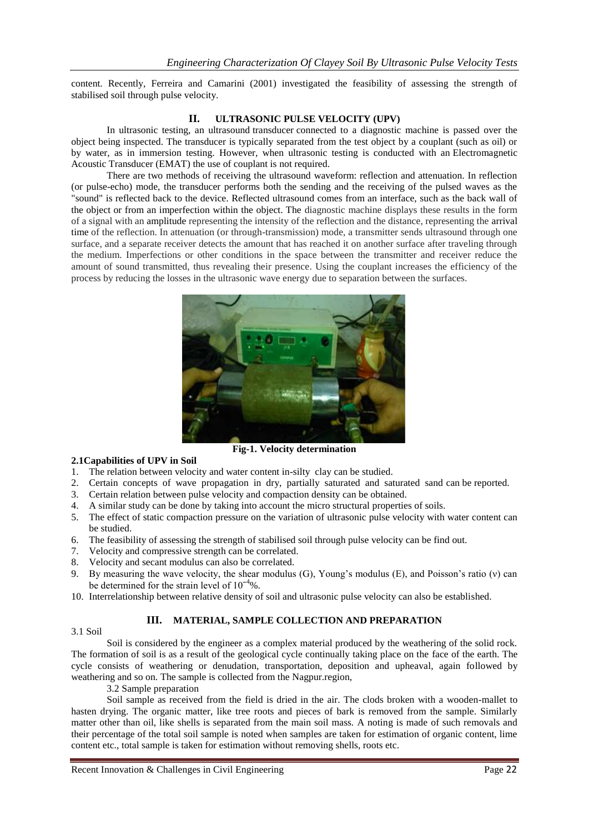content. Recently, Ferreira and Camarini (2001) investigated the feasibility of assessing the strength of stabilised soil through pulse velocity.

# **II. ULTRASONIC PULSE VELOCITY (UPV)**

In ultrasonic testing, an ultrasound [transducer](http://en.wikipedia.org/wiki/Ultrasonic_sensors) connected to a diagnostic machine is passed over the object being inspected. The transducer is typically separated from the test object by a couplant (such as oil) or by water, as in immersion testing. However, when ultrasonic testing is conducted with an [Electromagnetic](http://en.wikipedia.org/wiki/Electromagnetic_acoustic_transducer)  [Acoustic Transducer \(EMAT\)](http://en.wikipedia.org/wiki/Electromagnetic_acoustic_transducer) the use of couplant is not required.

There are two methods of receiving the ultrasound waveform: reflection and attenuation. In reflection (or pulse-echo) mode, the transducer performs both the sending and the receiving of the pulsed waves as the "sound" is reflected back to the device. Reflected ultrasound comes from an interface, such as the back wall of the object or from an imperfection within the object. The diagnostic machine displays these results in the form of a signal with an [amplitude](http://en.wikipedia.org/wiki/Amplitude) representing the intensity of the reflection and the distance, representing the [arrival](http://en.wikipedia.org/wiki/Arrival_time)  [time](http://en.wikipedia.org/wiki/Arrival_time) of the reflection. In attenuation (or through-transmission) mode, a transmitter sends ultrasound through one surface, and a separate receiver detects the amount that has reached it on another surface after traveling through the medium. Imperfections or other conditions in the space between the transmitter and receiver reduce the amount of sound transmitted, thus revealing their presence. Using the couplant increases the efficiency of the process by reducing the losses in the ultrasonic wave energy due to separation between the surfaces.



## **2.1Capabilities of UPV in Soil**

- 1. The relation between velocity and water content in-silty clay can be studied.
- 2. Certain concepts of wave propagation in dry, partially saturated and saturated sand can be reported.
- 3. Certain relation between pulse velocity and compaction density can be obtained.
- 4. A similar study can be done by taking into account the micro structural properties of soils.
- 5. The effect of static compaction pressure on the variation of ultrasonic pulse velocity with water content can be studied.
- 6. The feasibility of assessing the strength of stabilised soil through pulse velocity can be find out.
- 7. Velocity and compressive strength can be correlated.
- 8. Velocity and secant modulus can also be correlated.
- 9. By measuring the wave velocity, the shear modulus (G), Young's modulus (E), and Poisson's ratio (ν) can be determined for the strain level of  $10^{-4}\%$ .
- 10. Interrelationship between relative density of soil and ultrasonic pulse velocity can also be established.

# **III. MATERIAL, SAMPLE COLLECTION AND PREPARATION**

### 3.1 Soil

Soil is considered by the engineer as a complex material produced by the weathering of the solid rock. The formation of soil is as a result of the geological cycle continually taking place on the face of the earth. The cycle consists of weathering or denudation, transportation, deposition and upheaval, again followed by weathering and so on. The sample is collected from the Nagpur.region,

3.2 Sample preparation

Soil sample as received from the field is dried in the air. The clods broken with a wooden-mallet to hasten drying. The organic matter, like tree roots and pieces of bark is removed from the sample. Similarly matter other than oil, like shells is separated from the main soil mass. A noting is made of such removals and their percentage of the total soil sample is noted when samples are taken for estimation of organic content, lime content etc., total sample is taken for estimation without removing shells, roots etc.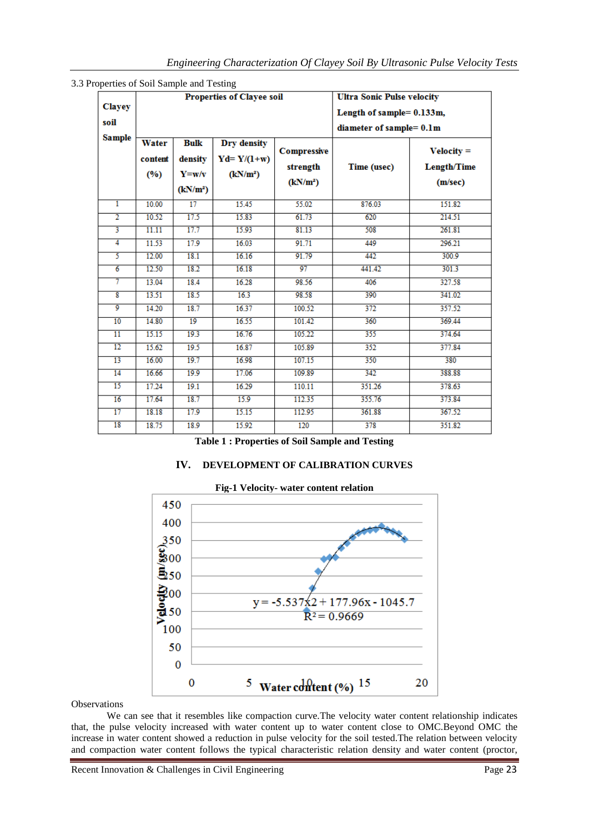|                         |                         |                                     | <b>Properties of Clayee soil</b>                      | <b>Ultra Sonic Pulse velocity</b><br>Length of sample= 0.133m,<br>diameter of sample= 0.1m |             |                                               |
|-------------------------|-------------------------|-------------------------------------|-------------------------------------------------------|--------------------------------------------------------------------------------------------|-------------|-----------------------------------------------|
| <b>Clayey</b>           |                         |                                     |                                                       |                                                                                            |             |                                               |
| soil                    |                         |                                     |                                                       |                                                                                            |             |                                               |
| <b>Sample</b>           | Water<br>content<br>(%) | <b>Bulk</b><br>density<br>$Y = w/v$ | Dry density<br>$Yd = Y/(1+w)$<br>(kN/m <sup>2</sup> ) | <b>Compressive</b><br>strength<br>(kN/m <sup>2</sup> )                                     | Time (usec) | $Velocity =$<br><b>Length/Time</b><br>(m/sec) |
| ī                       | 10.00                   | (kN/m <sup>2</sup> )<br>17          | 15.45                                                 | 55.02                                                                                      | 876.03      | 151.82                                        |
|                         |                         |                                     |                                                       |                                                                                            |             |                                               |
| $\overline{2}$          | 10.52                   | 17.5                                | 15.83                                                 | 61.73                                                                                      | 620         | 214.51                                        |
| $\overline{\mathbf{3}}$ | 11.11                   | 17.7                                | 15.93                                                 | 81.13                                                                                      | 508         | 261.81                                        |
| $\overline{4}$          | 11.53                   | 17.9                                | 16.03                                                 | 91.71                                                                                      | 449         | 296.21                                        |
| 5                       | 12.00                   | 18.1                                | 16.16                                                 | 91.79                                                                                      | 442         | 300.9                                         |
| $\overline{6}$          | 12.50                   | 18.2                                | 16.18                                                 | 97                                                                                         | 441.42      | 301.3                                         |
| 7                       | 13.04                   | 18.4                                | 16.28                                                 | 98.56                                                                                      | 406         | 327.58                                        |
| $\overline{\mathbf{8}}$ | 13.51                   | 18.5                                | 16.3                                                  | 98.58                                                                                      | 390         | 341.02                                        |
| 9                       | 14.20                   | 18.7                                | 16.37                                                 | 100.52                                                                                     | 372         | 357.52                                        |
| 10                      | 14.80                   | 19                                  | 16.55                                                 | 101.42                                                                                     | 360         | 369.44                                        |
| $\overline{11}$         | 15.15                   | 19.3                                | 16.76                                                 | 105.22                                                                                     | 355         | 374.64                                        |
| 12                      | 15.62                   | 19.5                                | 16.87                                                 | 105.89                                                                                     | 352         | 377.84                                        |
| 13                      | 16.00                   | 19.7                                | 16.98                                                 | 107.15                                                                                     | 350         | 380                                           |
| 14                      | 16.66                   | 19.9                                | 17.06                                                 | 109.89                                                                                     | 342         | 388.88                                        |
| $\overline{15}$         | 17.24                   | 19.1                                | 16.29                                                 | 110.11                                                                                     | 351.26      | 378.63                                        |
| 16                      | 17.64                   | 18.7                                | 15.9                                                  | 112.35                                                                                     | 355.76      | 373.84                                        |
| 17                      | 18.18                   | 17.9                                | 15.15                                                 | 112.95                                                                                     | 361.88      | 367.52                                        |
| 18                      | 18.75                   | 18.9                                | 15.92                                                 | 120                                                                                        | 378         | 351.82                                        |

|  |  |  |  | 3.3 Properties of Soil Sample and Testing |
|--|--|--|--|-------------------------------------------|
|  |  |  |  |                                           |

# **IV. DEVELOPMENT OF CALIBRATION CURVES**



# **Fig-1 Velocity- water content relation**

**Observations** 

We can see that it resembles like compaction curve.The velocity water content relationship indicates that, the pulse velocity increased with water content up to water content close to OMC.Beyond OMC the increase in water content showed a reduction in pulse velocity for the soil tested.The relation between velocity and compaction water content follows the typical characteristic relation density and water content (proctor,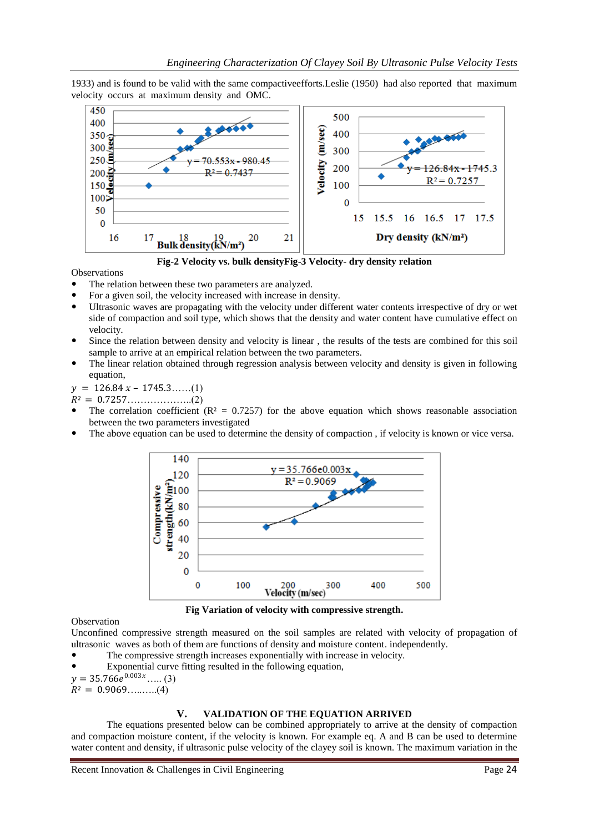1933) and is found to be valid with the same compactiveefforts.Leslie (1950) had also reported that maximum velocity occurs at maximum density and OMC.



**Fig-2 Velocity vs. bulk densityFig-3 Velocity- dry density relation**

**Observations** 

- The relation between these two parameters are analyzed.
- For a given soil, the velocity increased with increase in density.
- Ultrasonic waves are propagating with the velocity under different water contents irrespective of dry or wet side of compaction and soil type, which shows that the density and water content have cumulative effect on velocity.
- Since the relation between density and velocity is linear , the results of the tests are combined for this soil sample to arrive at an empirical relation between the two parameters.
- The linear relation obtained through regression analysis between velocity and density is given in following equation,

 $y = 126.84 x - 1745.3.....(1)$ 

*²* = 0.7257………………..(2)

- The correlation coefficient ( $\mathbb{R}^2 = 0.7257$ ) for the above equation which shows reasonable association between the two parameters investigated
- The above equation can be used to determine the density of compaction , if velocity is known or vice versa.



**Fig Variation of velocity with compressive strength.**

Observation

Unconfined compressive strength measured on the soil samples are related with velocity of propagation of ultrasonic waves as both of them are functions of density and moisture content. independently.

- The compressive strength increases exponentially with increase in velocity.
- Exponential curve fitting resulted in the following equation,

 $y = 35.766e^{0.003x}$ ..... (3)

 $R^2 = 0.9069$ ..........(4)

## **V. VALIDATION OF THE EQUATION ARRIVED**

The equations presented below can be combined appropriately to arrive at the density of compaction and compaction moisture content, if the velocity is known. For example eq. A and B can be used to determine water content and density, if ultrasonic pulse velocity of the clayey soil is known. The maximum variation in the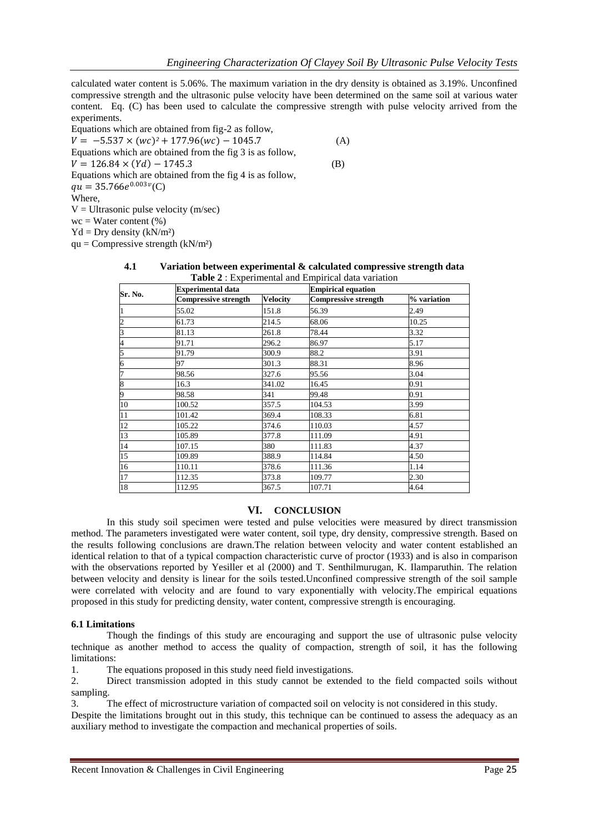calculated water content is 5.06%. The maximum variation in the dry density is obtained as 3.19%. Unconfined compressive strength and the ultrasonic pulse velocity have been determined on the same soil at various water content. Eq. (C) has been used to calculate the compressive strength with pulse velocity arrived from the experiments.

Equations which are obtained from fig-2 as follow,  $V = -5.537 \times (wc)^2 + 177.96(wc) - 1045.7$  (A) Equations which are obtained from the fig 3 is as follow,  $V = 126.84 \times (Yd) - 1745.3$  (B) Equations which are obtained from the fig 4 is as follow,  $qu = 35.766e^{0.003v}$ (C) Where,  $V =$  Ultrasonic pulse velocity (m/sec)  $wc = Water content (%)$ 

 $Yd = Dry density (kN/m<sup>2</sup>)$ 

 $qu = Compressive strength (kN/m<sup>2</sup>)$ 

| Sr. No.         | <b>Experimental data</b>    |                 | <b>Empirical equation</b>   |             |  |
|-----------------|-----------------------------|-----------------|-----------------------------|-------------|--|
|                 | <b>Compressive strength</b> | <b>Velocity</b> | <b>Compressive strength</b> | % variation |  |
| II              | 55.02                       | 151.8           | 56.39                       | 2.49        |  |
| $\frac{2}{3}$   | 61.73                       | 214.5           | 68.06                       | 10.25       |  |
|                 | 81.13                       | 261.8           | 78.44                       | 3.32        |  |
| 4               | 91.71                       | 296.2           | 86.97                       | 5.17        |  |
| 5               | 91.79                       | 300.9           | 88.2                        | 3.91        |  |
| $\overline{6}$  | 97                          | 301.3           | 88.31                       | 8.96        |  |
| 7               | 98.56                       | 327.6           | 95.56                       | 3.04        |  |
| 8               | 16.3                        | 341.02          | 16.45                       | 0.91        |  |
| 9               | 98.58                       | 341             | 99.48                       | 0.91        |  |
| $\overline{10}$ | 100.52                      | 357.5           | 104.53                      | 3.99        |  |
| $\overline{11}$ | 101.42                      | 369.4           | 108.33                      | 6.81        |  |
| 12              | 105.22                      | 374.6           | 110.03                      | 4.57        |  |
| 13              | 105.89                      | 377.8           | 111.09                      | 4.91        |  |
| 14              | 107.15                      | 380             | 111.83                      | 4.37        |  |
| 15              | 109.89                      | 388.9           | 114.84                      | 4.50        |  |
| $\overline{16}$ | 110.11                      | 378.6           | 111.36                      | 1.14        |  |
| $\overline{17}$ | 112.35                      | 373.8           | 109.77                      | 2.30        |  |
| 18              | 112.95                      | 367.5           | 107.71                      | 4.64        |  |

#### **4.1 Variation between experimental & calculated compressive strength data Table 2** : Experimental and Empirical data variation

### **VI. CONCLUSION**

In this study soil specimen were tested and pulse velocities were measured by direct transmission method. The parameters investigated were water content, soil type, dry density, compressive strength. Based on the results following conclusions are drawn.The relation between velocity and water content established an identical relation to that of a typical compaction characteristic curve of proctor (1933) and is also in comparison with the observations reported by Yesiller et al (2000) and T. Senthilmurugan, K. Ilamparuthin. The relation between velocity and density is linear for the soils tested.Unconfined compressive strength of the soil sample were correlated with velocity and are found to vary exponentially with velocity.The empirical equations proposed in this study for predicting density, water content, compressive strength is encouraging.

### **6.1 Limitations**

Though the findings of this study are encouraging and support the use of ultrasonic pulse velocity technique as another method to access the quality of compaction, strength of soil, it has the following limitations:

1. The equations proposed in this study need field investigations.

2. Direct transmission adopted in this study cannot be extended to the field compacted soils without sampling.

3. The effect of microstructure variation of compacted soil on velocity is not considered in this study.

Despite the limitations brought out in this study, this technique can be continued to assess the adequacy as an auxiliary method to investigate the compaction and mechanical properties of soils.